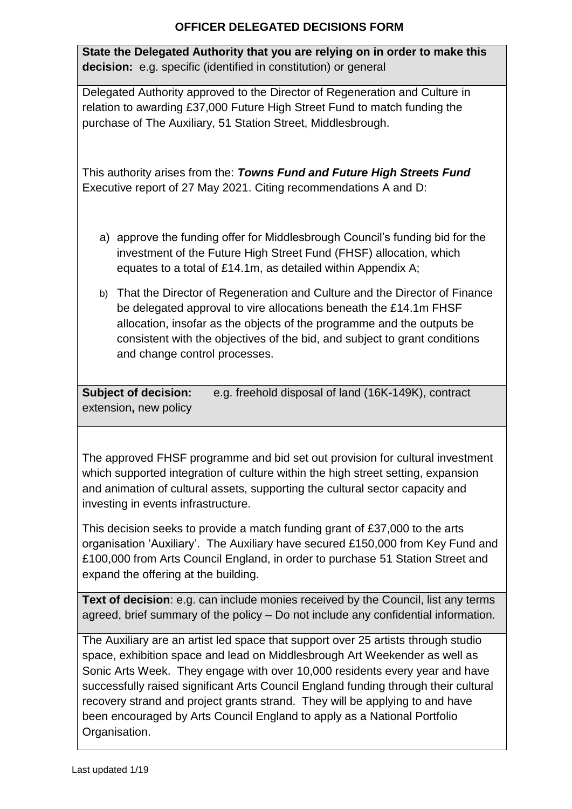# **OFFICER DELEGATED DECISIONS FORM**

**State the Delegated Authority that you are relying on in order to make this decision:** e.g. specific (identified in constitution) or general

Delegated Authority approved to the Director of Regeneration and Culture in relation to awarding £37,000 Future High Street Fund to match funding the purchase of The Auxiliary, 51 Station Street, Middlesbrough.

This authority arises from the: *[Towns Fund and Future High Streets Fund](https://moderngov.middlesbrough.gov.uk/documents/s4808/Report.pdf)* Executive report of 27 May 2021. Citing recommendations A and D:

- a) approve the funding offer for Middlesbrough Council's funding bid for the investment of the Future High Street Fund (FHSF) allocation, which equates to a total of £14.1m, as detailed within Appendix A;
- b) That the Director of Regeneration and Culture and the Director of Finance be delegated approval to vire allocations beneath the £14.1m FHSF allocation, insofar as the objects of the programme and the outputs be consistent with the objectives of the bid, and subject to grant conditions and change control processes.

**Subject of decision:** e.g. freehold disposal of land (16K-149K), contract extension**,** new policy

The approved FHSF programme and bid set out provision for cultural investment which supported integration of culture within the high street setting, expansion and animation of cultural assets, supporting the cultural sector capacity and investing in events infrastructure.

This decision seeks to provide a match funding grant of £37,000 to the arts organisation 'Auxiliary'. The Auxiliary have secured £150,000 from Key Fund and £100,000 from Arts Council England, in order to purchase 51 Station Street and expand the offering at the building.

**Text of decision**: e.g. can include monies received by the Council, list any terms agreed, brief summary of the policy – Do not include any confidential information.

The Auxiliary are an artist led space that support over 25 artists through studio space, exhibition space and lead on Middlesbrough Art Weekender as well as Sonic Arts Week. They engage with over 10,000 residents every year and have successfully raised significant Arts Council England funding through their cultural recovery strand and project grants strand. They will be applying to and have been encouraged by Arts Council England to apply as a National Portfolio Organisation.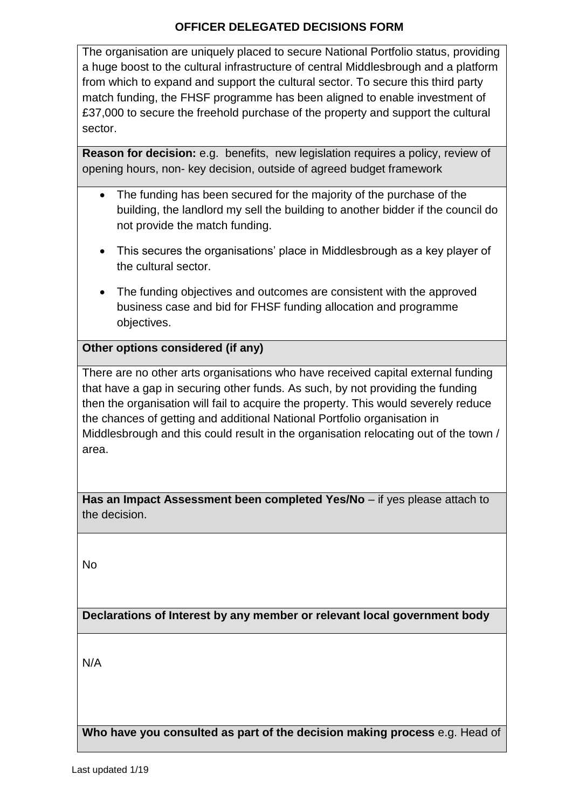#### **OFFICER DELEGATED DECISIONS FORM**

The organisation are uniquely placed to secure National Portfolio status, providing a huge boost to the cultural infrastructure of central Middlesbrough and a platform from which to expand and support the cultural sector. To secure this third party match funding, the FHSF programme has been aligned to enable investment of £37,000 to secure the freehold purchase of the property and support the cultural sector.

**Reason for decision:** e.g. benefits, new legislation requires a policy, review of opening hours, non- key decision, outside of agreed budget framework

- The funding has been secured for the majority of the purchase of the building, the landlord my sell the building to another bidder if the council do not provide the match funding.
- This secures the organisations' place in Middlesbrough as a key player of the cultural sector.
- The funding objectives and outcomes are consistent with the approved business case and bid for FHSF funding allocation and programme objectives.

# **Other options considered (if any)**

There are no other arts organisations who have received capital external funding that have a gap in securing other funds. As such, by not providing the funding then the organisation will fail to acquire the property. This would severely reduce the chances of getting and additional National Portfolio organisation in Middlesbrough and this could result in the organisation relocating out of the town / area.

**Has an Impact Assessment been completed Yes/No – if yes please attach to** the decision.

No

**Declarations of Interest by any member or relevant local government body**

N/A

**Who have you consulted as part of the decision making process** e.g. Head of